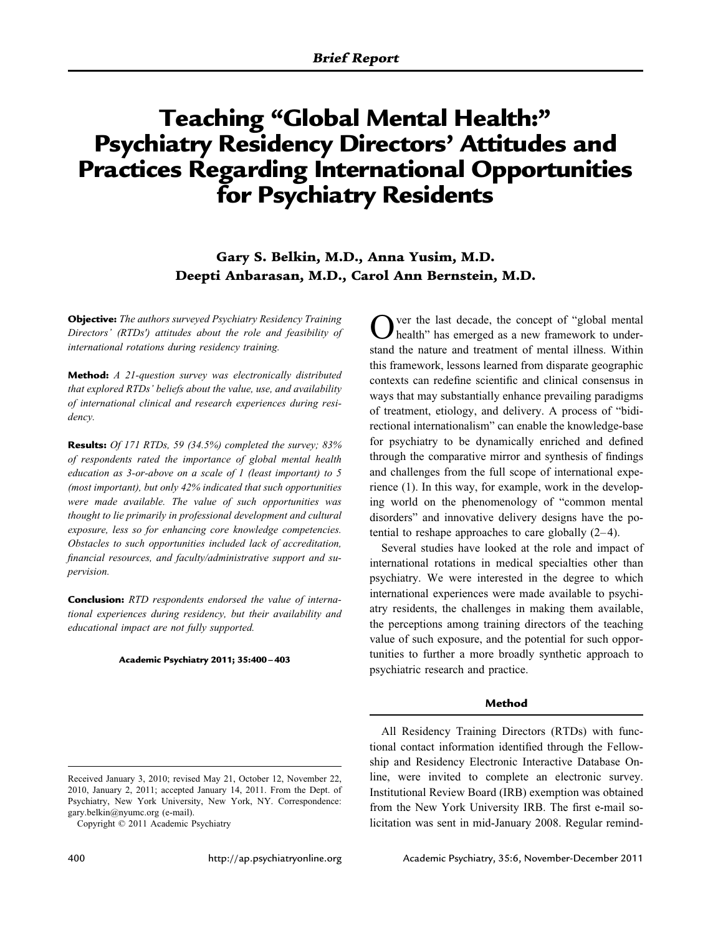# **Teaching "Global Mental Health:" Psychiatry Residency Directors' Attitudes and Practices Regarding International Opportunities for Psychiatry Residents**

**Gary S. Belkin, M.D., Anna Yusim, M.D. Deepti Anbarasan, M.D., Carol Ann Bernstein, M.D.**

**Objective:** *The authors surveyed Psychiatry Residency Training Directors' (RTDs') attitudes about the role and feasibility of international rotations during residency training.*

**Method:** *A 21-question survey was electronically distributed that explored RTDs' beliefs about the value, use, and availability of international clinical and research experiences during residency.*

**Results:** *Of 171 RTDs, 59 (34.5%) completed the survey; 83% of respondents rated the importance of global mental health education as 3-or-above on a scale of 1 (least important) to 5 (most important), but only 42% indicated that such opportunities were made available. The value of such opportunities was thought to lie primarily in professional development and cultural exposure, less so for enhancing core knowledge competencies. Obstacles to such opportunities included lack of accreditation, financial resources, and faculty/administrative support and supervision.*

**Conclusion:** *RTD respondents endorsed the value of international experiences during residency, but their availability and educational impact are not fully supported.*

#### **Academic Psychiatry 2011; 35:400 – 403**

ver the last decade, the concept of "global mental health" has emerged as a new framework to understand the nature and treatment of mental illness. Within this framework, lessons learned from disparate geographic contexts can redefine scientific and clinical consensus in ways that may substantially enhance prevailing paradigms of treatment, etiology, and delivery. A process of "bidirectional internationalism" can enable the knowledge-base for psychiatry to be dynamically enriched and defined through the comparative mirror and synthesis of findings and challenges from the full scope of international experience (1). In this way, for example, work in the developing world on the phenomenology of "common mental disorders" and innovative delivery designs have the potential to reshape approaches to care globally  $(2-4)$ .

Several studies have looked at the role and impact of international rotations in medical specialties other than psychiatry. We were interested in the degree to which international experiences were made available to psychiatry residents, the challenges in making them available, the perceptions among training directors of the teaching value of such exposure, and the potential for such opportunities to further a more broadly synthetic approach to psychiatric research and practice.

## **Method**

All Residency Training Directors (RTDs) with functional contact information identified through the Fellowship and Residency Electronic Interactive Database Online, were invited to complete an electronic survey. Institutional Review Board (IRB) exemption was obtained from the New York University IRB. The first e-mail solicitation was sent in mid-January 2008. Regular remind-

Received January 3, 2010; revised May 21, October 12, November 22, 2010, January 2, 2011; accepted January 14, 2011. From the Dept. of Psychiatry, New York University, New York, NY. Correspondence: gary.belkin@nyumc.org (e-mail).

Copyright © 2011 Academic Psychiatry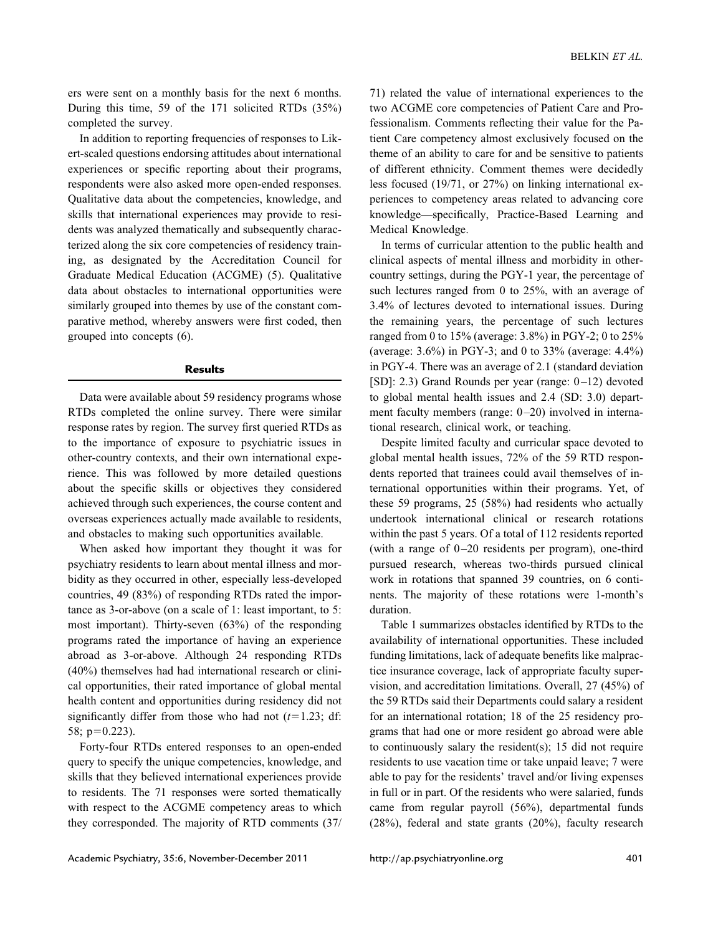ers were sent on a monthly basis for the next 6 months. During this time, 59 of the 171 solicited RTDs (35%) completed the survey.

In addition to reporting frequencies of responses to Likert-scaled questions endorsing attitudes about international experiences or specific reporting about their programs, respondents were also asked more open-ended responses. Qualitative data about the competencies, knowledge, and skills that international experiences may provide to residents was analyzed thematically and subsequently characterized along the six core competencies of residency training, as designated by the Accreditation Council for Graduate Medical Education (ACGME) (5). Qualitative data about obstacles to international opportunities were similarly grouped into themes by use of the constant comparative method, whereby answers were first coded, then grouped into concepts (6).

### **Results**

Data were available about 59 residency programs whose RTDs completed the online survey. There were similar response rates by region. The survey first queried RTDs as to the importance of exposure to psychiatric issues in other-country contexts, and their own international experience. This was followed by more detailed questions about the specific skills or objectives they considered achieved through such experiences, the course content and overseas experiences actually made available to residents, and obstacles to making such opportunities available.

When asked how important they thought it was for psychiatry residents to learn about mental illness and morbidity as they occurred in other, especially less-developed countries, 49 (83%) of responding RTDs rated the importance as 3-or-above (on a scale of 1: least important, to 5: most important). Thirty-seven (63%) of the responding programs rated the importance of having an experience abroad as 3-or-above. Although 24 responding RTDs (40%) themselves had had international research or clinical opportunities, their rated importance of global mental health content and opportunities during residency did not significantly differ from those who had not  $(t=1.23; df)$ : 58;  $p=0.223$ ).

Forty-four RTDs entered responses to an open-ended query to specify the unique competencies, knowledge, and skills that they believed international experiences provide to residents. The 71 responses were sorted thematically with respect to the ACGME competency areas to which they corresponded. The majority of RTD comments (37/

71) related the value of international experiences to the two ACGME core competencies of Patient Care and Professionalism. Comments reflecting their value for the Patient Care competency almost exclusively focused on the theme of an ability to care for and be sensitive to patients of different ethnicity. Comment themes were decidedly less focused (19/71, or 27%) on linking international experiences to competency areas related to advancing core knowledge—specifically, Practice-Based Learning and Medical Knowledge.

In terms of curricular attention to the public health and clinical aspects of mental illness and morbidity in othercountry settings, during the PGY-1 year, the percentage of such lectures ranged from 0 to 25%, with an average of 3.4% of lectures devoted to international issues. During the remaining years, the percentage of such lectures ranged from 0 to 15% (average: 3.8%) in PGY-2; 0 to 25% (average: 3.6%) in PGY-3; and 0 to 33% (average: 4.4%) in PGY-4. There was an average of 2.1 (standard deviation [SD]: 2.3) Grand Rounds per year (range: 0-12) devoted to global mental health issues and 2.4 (SD: 3.0) department faculty members (range:  $0-20$ ) involved in international research, clinical work, or teaching.

Despite limited faculty and curricular space devoted to global mental health issues, 72% of the 59 RTD respondents reported that trainees could avail themselves of international opportunities within their programs. Yet, of these 59 programs, 25 (58%) had residents who actually undertook international clinical or research rotations within the past 5 years. Of a total of 112 residents reported (with a range of  $0-20$  residents per program), one-third pursued research, whereas two-thirds pursued clinical work in rotations that spanned 39 countries, on 6 continents. The majority of these rotations were 1-month's duration.

Table 1 summarizes obstacles identified by RTDs to the availability of international opportunities. These included funding limitations, lack of adequate benefits like malpractice insurance coverage, lack of appropriate faculty supervision, and accreditation limitations. Overall, 27 (45%) of the 59 RTDs said their Departments could salary a resident for an international rotation; 18 of the 25 residency programs that had one or more resident go abroad were able to continuously salary the resident(s); 15 did not require residents to use vacation time or take unpaid leave; 7 were able to pay for the residents' travel and/or living expenses in full or in part. Of the residents who were salaried, funds came from regular payroll (56%), departmental funds (28%), federal and state grants (20%), faculty research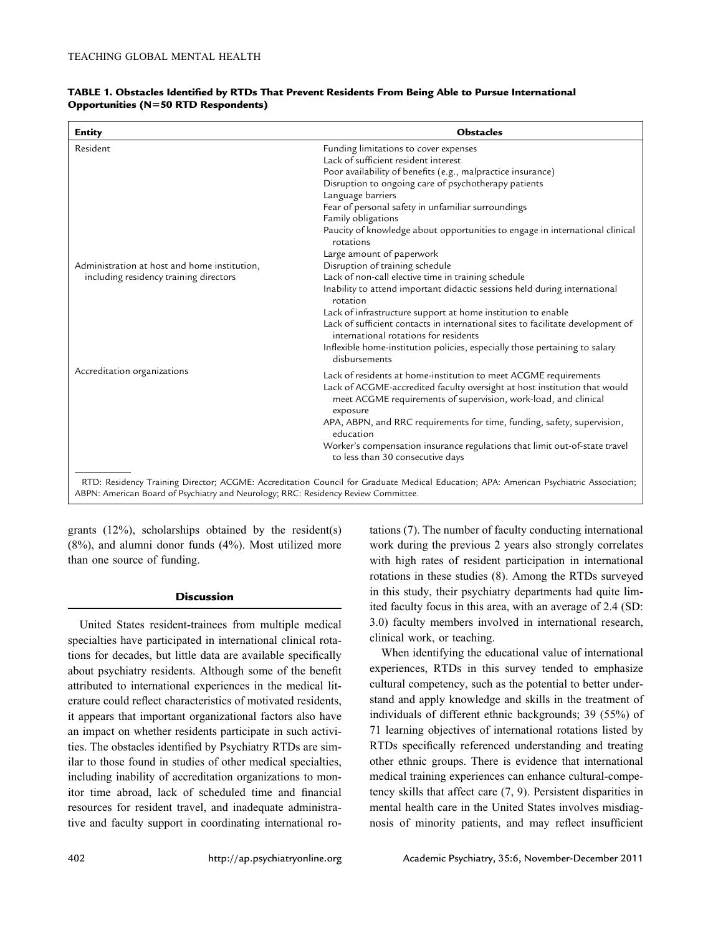| <b>Entity</b>                                                                                                                                                                                                               | <b>Obstacles</b>                                                                                                                                                                                                             |
|-----------------------------------------------------------------------------------------------------------------------------------------------------------------------------------------------------------------------------|------------------------------------------------------------------------------------------------------------------------------------------------------------------------------------------------------------------------------|
| Resident                                                                                                                                                                                                                    | Funding limitations to cover expenses                                                                                                                                                                                        |
|                                                                                                                                                                                                                             | Lack of sufficient resident interest                                                                                                                                                                                         |
|                                                                                                                                                                                                                             | Poor availability of benefits (e.g., malpractice insurance)                                                                                                                                                                  |
|                                                                                                                                                                                                                             | Disruption to ongoing care of psychotherapy patients                                                                                                                                                                         |
|                                                                                                                                                                                                                             | Language barriers                                                                                                                                                                                                            |
|                                                                                                                                                                                                                             | Fear of personal safety in unfamiliar surroundings                                                                                                                                                                           |
|                                                                                                                                                                                                                             | Family obligations                                                                                                                                                                                                           |
|                                                                                                                                                                                                                             | Paucity of knowledge about opportunities to engage in international clinical<br>rotations                                                                                                                                    |
|                                                                                                                                                                                                                             | Large amount of paperwork                                                                                                                                                                                                    |
| Administration at host and home institution,                                                                                                                                                                                | Disruption of training schedule                                                                                                                                                                                              |
| including residency training directors                                                                                                                                                                                      | Lack of non-call elective time in training schedule                                                                                                                                                                          |
|                                                                                                                                                                                                                             | Inability to attend important didactic sessions held during international<br>rotation                                                                                                                                        |
|                                                                                                                                                                                                                             | Lack of infrastructure support at home institution to enable                                                                                                                                                                 |
|                                                                                                                                                                                                                             | Lack of sufficient contacts in international sites to facilitate development of<br>international rotations for residents                                                                                                     |
|                                                                                                                                                                                                                             | Inflexible home-institution policies, especially those pertaining to salary<br>disbursements                                                                                                                                 |
| Accreditation organizations                                                                                                                                                                                                 |                                                                                                                                                                                                                              |
|                                                                                                                                                                                                                             | Lack of residents at home-institution to meet ACGME requirements<br>Lack of ACGME-accredited faculty oversight at host institution that would<br>meet ACGME requirements of supervision, work-load, and clinical<br>exposure |
|                                                                                                                                                                                                                             | APA, ABPN, and RRC requirements for time, funding, safety, supervision,<br>education                                                                                                                                         |
|                                                                                                                                                                                                                             | Worker's compensation insurance regulations that limit out-of-state travel<br>to less than 30 consecutive days                                                                                                               |
| RTD: Residency Training Director; ACGME: Accreditation Council for Graduate Medical Education; APA: American Psychiatric Association;<br>ABPN: American Board of Psychiatry and Neurology; RRC: Residency Review Committee. |                                                                                                                                                                                                                              |

### **TABLE 1. Obstacles Identified by RTDs That Prevent Residents From Being Able to Pursue International Opportunities (N50 RTD Respondents)**

grants (12%), scholarships obtained by the resident(s) (8%), and alumni donor funds (4%). Most utilized more than one source of funding.

### **Discussion**

United States resident-trainees from multiple medical specialties have participated in international clinical rotations for decades, but little data are available specifically about psychiatry residents. Although some of the benefit attributed to international experiences in the medical literature could reflect characteristics of motivated residents, it appears that important organizational factors also have an impact on whether residents participate in such activities. The obstacles identified by Psychiatry RTDs are similar to those found in studies of other medical specialties, including inability of accreditation organizations to monitor time abroad, lack of scheduled time and financial resources for resident travel, and inadequate administrative and faculty support in coordinating international ro-

tations (7). The number of faculty conducting international work during the previous 2 years also strongly correlates with high rates of resident participation in international rotations in these studies (8). Among the RTDs surveyed in this study, their psychiatry departments had quite limited faculty focus in this area, with an average of 2.4 (SD: 3.0) faculty members involved in international research, clinical work, or teaching.

When identifying the educational value of international experiences, RTDs in this survey tended to emphasize cultural competency, such as the potential to better understand and apply knowledge and skills in the treatment of individuals of different ethnic backgrounds; 39 (55%) of 71 learning objectives of international rotations listed by RTDs specifically referenced understanding and treating other ethnic groups. There is evidence that international medical training experiences can enhance cultural-competency skills that affect care (7, 9). Persistent disparities in mental health care in the United States involves misdiagnosis of minority patients, and may reflect insufficient